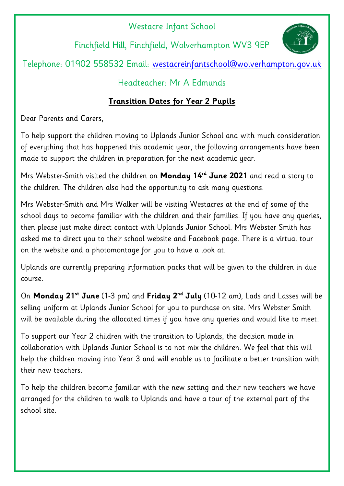## Westacre Infant School

Finchfield Hill, Finchfield, Wolverhampton WV3 9EP



Telephone: 01902 558532 Email: [westacreinfantschool@wolverhampton.gov.uk](mailto:westacreinfantschool@wolverhampton.gov.uk)

## Headteacher: Mr A Edmunds

## **Transition Dates for Year 2 Pupils**

Dear Parents and Carers,

To help support the children moving to Uplands Junior School and with much consideration of everything that has happened this academic year, the following arrangements have been made to support the children in preparation for the next academic year.

Mrs Webster-Smith visited the children on **Monday 14rd June 2021** and read a story to the children. The children also had the opportunity to ask many questions.

Mrs Webster-Smith and Mrs Walker will be visiting Westacres at the end of some of the school days to become familiar with the children and their families. If you have any queries, then please just make direct contact with Uplands Junior School. Mrs Webster Smith has asked me to direct you to their school website and Facebook page. There is a virtual tour on the website and a photomontage for you to have a look at.

Uplands are currently preparing information packs that will be given to the children in due course.

On **Monday 21st June** (1-3 pm) and **Friday 2nd July** (10-12 am), Lads and Lasses will be selling uniform at Uplands Junior School for you to purchase on site. Mrs Webster Smith will be available during the allocated times if you have any queries and would like to meet.

To support our Year 2 children with the transition to Uplands, the decision made in collaboration with Uplands Junior School is to not mix the children. We feel that this will help the children moving into Year 3 and will enable us to facilitate a better transition with their new teachers.

To help the children become familiar with the new setting and their new teachers we have arranged for the children to walk to Uplands and have a tour of the external part of the school site.